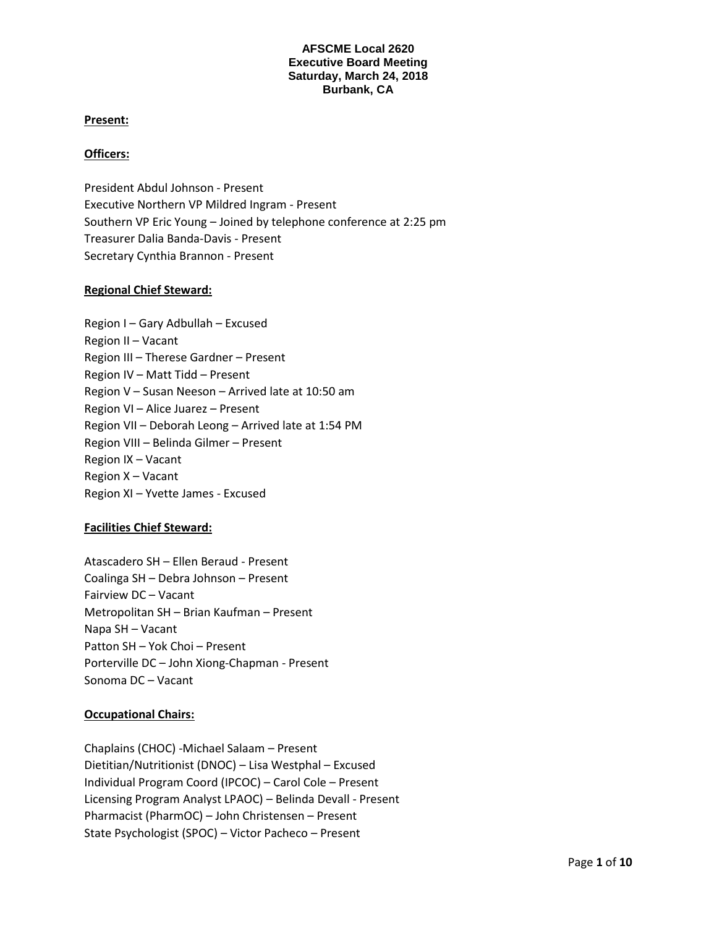#### **Present:**

#### **Officers:**

President Abdul Johnson - Present Executive Northern VP Mildred Ingram - Present Southern VP Eric Young – Joined by telephone conference at 2:25 pm Treasurer Dalia Banda-Davis - Present Secretary Cynthia Brannon - Present

#### **Regional Chief Steward:**

| Region I - Gary Adbullah - Excused                   |
|------------------------------------------------------|
| Region II - Vacant                                   |
| Region III - Therese Gardner - Present               |
| Region IV – Matt Tidd – Present                      |
| Region V - Susan Neeson - Arrived late at 10:50 am   |
| Region VI – Alice Juarez – Present                   |
| Region VII - Deborah Leong - Arrived late at 1:54 PM |
| Region VIII - Belinda Gilmer - Present               |
| Region IX - Vacant                                   |
| Region X - Vacant                                    |
| Region XI - Yvette James - Excused                   |

#### **Facilities Chief Steward:**

Atascadero SH – Ellen Beraud - Present Coalinga SH – Debra Johnson – Present Fairview DC – Vacant Metropolitan SH – Brian Kaufman – Present Napa SH – Vacant Patton SH – Yok Choi – Present Porterville DC – John Xiong-Chapman - Present Sonoma DC – Vacant

## **Occupational Chairs:**

Chaplains (CHOC) -Michael Salaam – Present Dietitian/Nutritionist (DNOC) – Lisa Westphal – Excused Individual Program Coord (IPCOC) – Carol Cole – Present Licensing Program Analyst LPAOC) – Belinda Devall - Present Pharmacist (PharmOC) – John Christensen – Present State Psychologist (SPOC) – Victor Pacheco – Present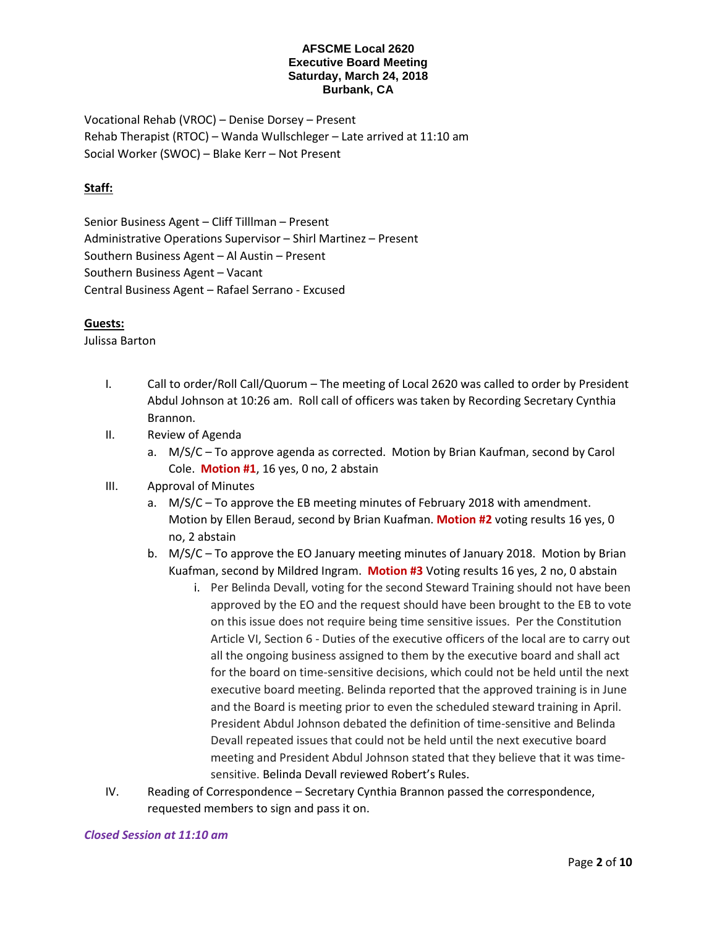Vocational Rehab (VROC) – Denise Dorsey – Present Rehab Therapist (RTOC) – Wanda Wullschleger – Late arrived at 11:10 am Social Worker (SWOC) – Blake Kerr – Not Present

# **Staff:**

Senior Business Agent – Cliff Tilllman – Present Administrative Operations Supervisor – Shirl Martinez – Present Southern Business Agent – Al Austin – Present Southern Business Agent – Vacant Central Business Agent – Rafael Serrano - Excused

## **Guests:**

Julissa Barton

- I. Call to order/Roll Call/Quorum The meeting of Local 2620 was called to order by President Abdul Johnson at 10:26 am. Roll call of officers was taken by Recording Secretary Cynthia Brannon.
- II. Review of Agenda
	- a. M/S/C To approve agenda as corrected. Motion by Brian Kaufman, second by Carol Cole. **Motion #1**, 16 yes, 0 no, 2 abstain
- III. Approval of Minutes
	- a. M/S/C To approve the EB meeting minutes of February 2018 with amendment. Motion by Ellen Beraud, second by Brian Kuafman. **Motion #2** voting results 16 yes, 0 no, 2 abstain
	- b. M/S/C To approve the EO January meeting minutes of January 2018. Motion by Brian Kuafman, second by Mildred Ingram. **Motion #3** Voting results 16 yes, 2 no, 0 abstain
		- i. Per Belinda Devall, voting for the second Steward Training should not have been approved by the EO and the request should have been brought to the EB to vote on this issue does not require being time sensitive issues. Per the Constitution Article VI, Section 6 - Duties of the executive officers of the local are to carry out all the ongoing business assigned to them by the executive board and shall act for the board on time-sensitive decisions, which could not be held until the next executive board meeting. Belinda reported that the approved training is in June and the Board is meeting prior to even the scheduled steward training in April. President Abdul Johnson debated the definition of time-sensitive and Belinda Devall repeated issues that could not be held until the next executive board meeting and President Abdul Johnson stated that they believe that it was timesensitive. Belinda Devall reviewed Robert's Rules.
- IV. Reading of Correspondence Secretary Cynthia Brannon passed the correspondence, requested members to sign and pass it on.

#### *Closed Session at 11:10 am*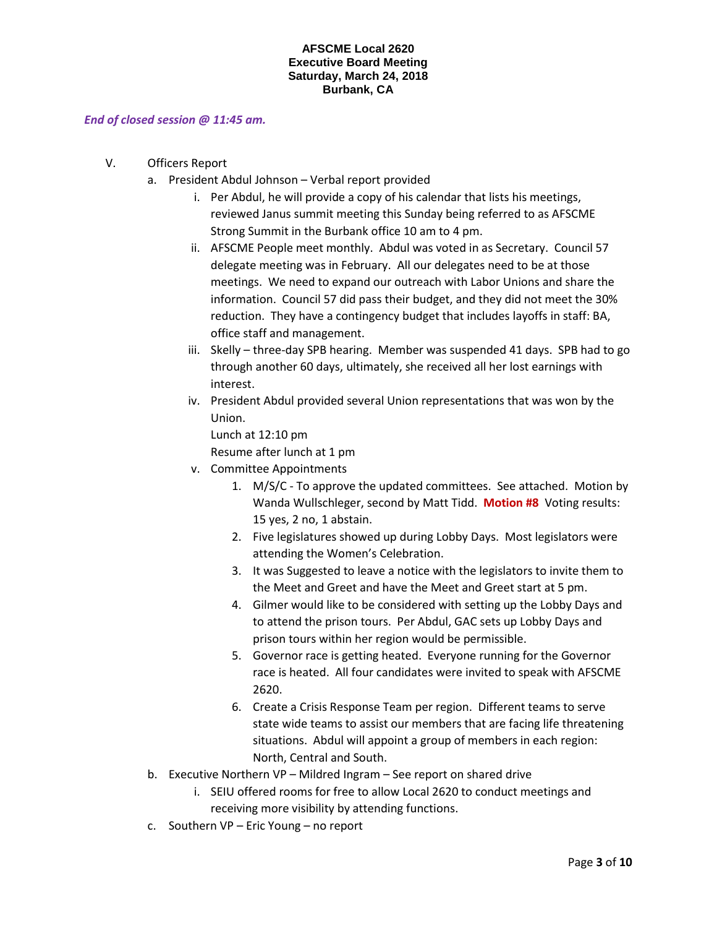#### *End of closed session @ 11:45 am.*

- V. Officers Report
	- a. President Abdul Johnson Verbal report provided
		- i. Per Abdul, he will provide a copy of his calendar that lists his meetings, reviewed Janus summit meeting this Sunday being referred to as AFSCME Strong Summit in the Burbank office 10 am to 4 pm.
		- ii. AFSCME People meet monthly. Abdul was voted in as Secretary. Council 57 delegate meeting was in February. All our delegates need to be at those meetings. We need to expand our outreach with Labor Unions and share the information. Council 57 did pass their budget, and they did not meet the 30% reduction. They have a contingency budget that includes layoffs in staff: BA, office staff and management.
		- iii. Skelly three-day SPB hearing. Member was suspended 41 days. SPB had to go through another 60 days, ultimately, she received all her lost earnings with interest.
		- iv. President Abdul provided several Union representations that was won by the Union.

Lunch at 12:10 pm Resume after lunch at 1 pm

- v. Committee Appointments
	- 1. M/S/C To approve the updated committees. See attached. Motion by Wanda Wullschleger, second by Matt Tidd. **Motion #8** Voting results: 15 yes, 2 no, 1 abstain.
	- 2. Five legislatures showed up during Lobby Days. Most legislators were attending the Women's Celebration.
	- 3. It was Suggested to leave a notice with the legislators to invite them to the Meet and Greet and have the Meet and Greet start at 5 pm.
	- 4. Gilmer would like to be considered with setting up the Lobby Days and to attend the prison tours. Per Abdul, GAC sets up Lobby Days and prison tours within her region would be permissible.
	- 5. Governor race is getting heated. Everyone running for the Governor race is heated. All four candidates were invited to speak with AFSCME 2620.
	- 6. Create a Crisis Response Team per region. Different teams to serve state wide teams to assist our members that are facing life threatening situations. Abdul will appoint a group of members in each region: North, Central and South.
- b. Executive Northern VP Mildred Ingram See report on shared drive
	- i. SEIU offered rooms for free to allow Local 2620 to conduct meetings and receiving more visibility by attending functions.
- c. Southern VP Eric Young no report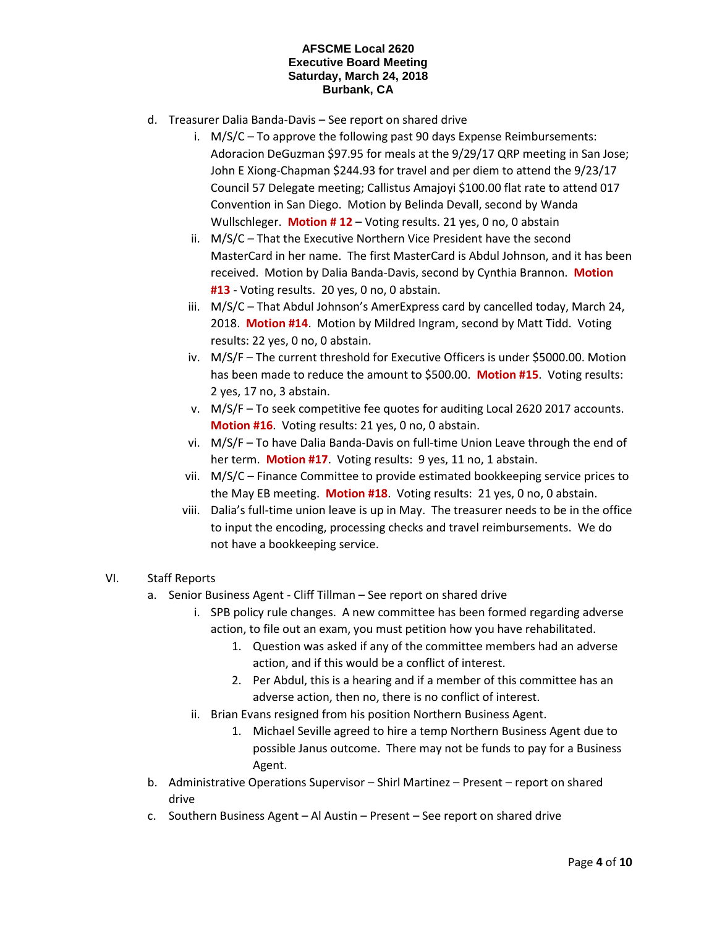- d. Treasurer Dalia Banda-Davis See report on shared drive
	- i. M/S/C To approve the following past 90 days Expense Reimbursements: Adoracion DeGuzman \$97.95 for meals at the 9/29/17 QRP meeting in San Jose; John E Xiong-Chapman \$244.93 for travel and per diem to attend the 9/23/17 Council 57 Delegate meeting; Callistus Amajoyi \$100.00 flat rate to attend 017 Convention in San Diego. Motion by Belinda Devall, second by Wanda Wullschleger. **Motion # 12** – Voting results. 21 yes, 0 no, 0 abstain
	- ii. M/S/C That the Executive Northern Vice President have the second MasterCard in her name. The first MasterCard is Abdul Johnson, and it has been received. Motion by Dalia Banda-Davis, second by Cynthia Brannon. **Motion #13** - Voting results. 20 yes, 0 no, 0 abstain.
	- iii. M/S/C That Abdul Johnson's AmerExpress card by cancelled today, March 24, 2018. **Motion #14**. Motion by Mildred Ingram, second by Matt Tidd. Voting results: 22 yes, 0 no, 0 abstain.
	- iv. M/S/F The current threshold for Executive Officers is under \$5000.00. Motion has been made to reduce the amount to \$500.00. **Motion #15**. Voting results: 2 yes, 17 no, 3 abstain.
	- v. M/S/F To seek competitive fee quotes for auditing Local 2620 2017 accounts. **Motion #16**. Voting results: 21 yes, 0 no, 0 abstain.
	- vi. M/S/F To have Dalia Banda-Davis on full-time Union Leave through the end of her term. **Motion #17**. Voting results: 9 yes, 11 no, 1 abstain.
	- vii. M/S/C Finance Committee to provide estimated bookkeeping service prices to the May EB meeting. **Motion #18**. Voting results: 21 yes, 0 no, 0 abstain.
	- viii. Dalia's full-time union leave is up in May. The treasurer needs to be in the office to input the encoding, processing checks and travel reimbursements. We do not have a bookkeeping service.

## VI. Staff Reports

- a. Senior Business Agent Cliff Tillman See report on shared drive
	- i. SPB policy rule changes. A new committee has been formed regarding adverse action, to file out an exam, you must petition how you have rehabilitated.
		- 1. Question was asked if any of the committee members had an adverse action, and if this would be a conflict of interest.
		- 2. Per Abdul, this is a hearing and if a member of this committee has an adverse action, then no, there is no conflict of interest.
	- ii. Brian Evans resigned from his position Northern Business Agent.
		- 1. Michael Seville agreed to hire a temp Northern Business Agent due to possible Janus outcome. There may not be funds to pay for a Business Agent.
- b. Administrative Operations Supervisor Shirl Martinez Present report on shared drive
- c. Southern Business Agent Al Austin Present See report on shared drive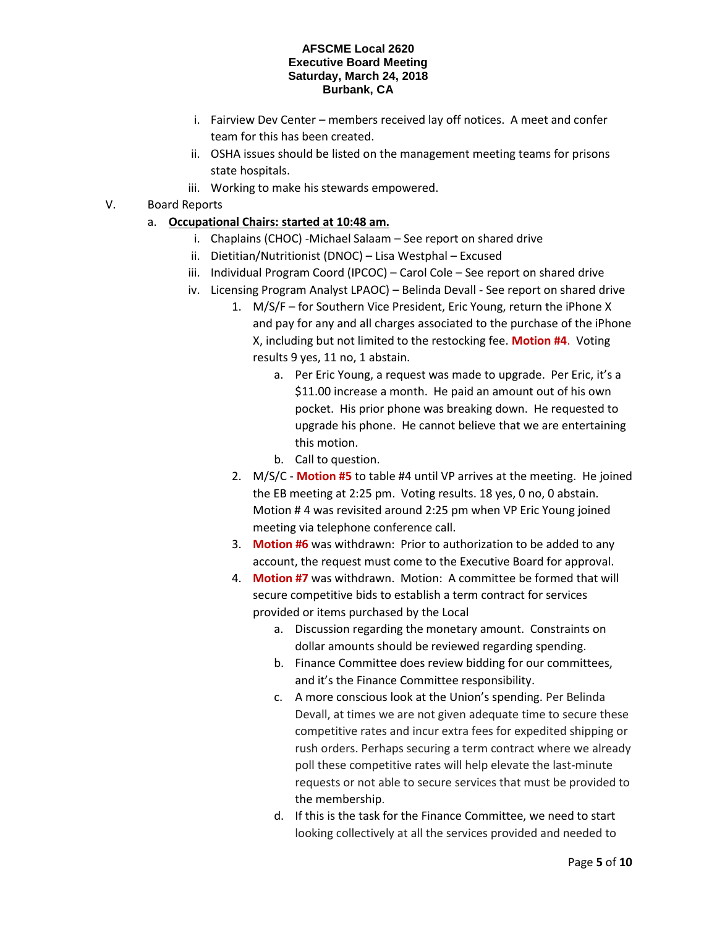- i. Fairview Dev Center members received lay off notices. A meet and confer team for this has been created.
- ii. OSHA issues should be listed on the management meeting teams for prisons state hospitals.
- iii. Working to make his stewards empowered.
- V. Board Reports
	- a. **Occupational Chairs: started at 10:48 am.**
		- i. Chaplains (CHOC) -Michael Salaam See report on shared drive
		- ii. Dietitian/Nutritionist (DNOC) Lisa Westphal Excused
		- iii. Individual Program Coord (IPCOC) Carol Cole See report on shared drive
		- iv. Licensing Program Analyst LPAOC) Belinda Devall See report on shared drive
			- 1. M/S/F for Southern Vice President, Eric Young, return the iPhone X and pay for any and all charges associated to the purchase of the iPhone X, including but not limited to the restocking fee. **Motion #4**. Voting results 9 yes, 11 no, 1 abstain.
				- a. Per Eric Young, a request was made to upgrade. Per Eric, it's a \$11.00 increase a month. He paid an amount out of his own pocket. His prior phone was breaking down. He requested to upgrade his phone. He cannot believe that we are entertaining this motion.
				- b. Call to question.
			- 2. M/S/C **Motion #5** to table #4 until VP arrives at the meeting. He joined the EB meeting at 2:25 pm. Voting results. 18 yes, 0 no, 0 abstain. Motion # 4 was revisited around 2:25 pm when VP Eric Young joined meeting via telephone conference call.
			- 3. **Motion #6** was withdrawn: Prior to authorization to be added to any account, the request must come to the Executive Board for approval.
			- 4. **Motion #7** was withdrawn. Motion: A committee be formed that will secure competitive bids to establish a term contract for services provided or items purchased by the Local
				- a. Discussion regarding the monetary amount. Constraints on dollar amounts should be reviewed regarding spending.
				- b. Finance Committee does review bidding for our committees, and it's the Finance Committee responsibility.
				- c. A more conscious look at the Union's spending. Per Belinda Devall, at times we are not given adequate time to secure these competitive rates and incur extra fees for expedited shipping or rush orders. Perhaps securing a term contract where we already poll these competitive rates will help elevate the last-minute requests or not able to secure services that must be provided to the membership.
				- d. If this is the task for the Finance Committee, we need to start looking collectively at all the services provided and needed to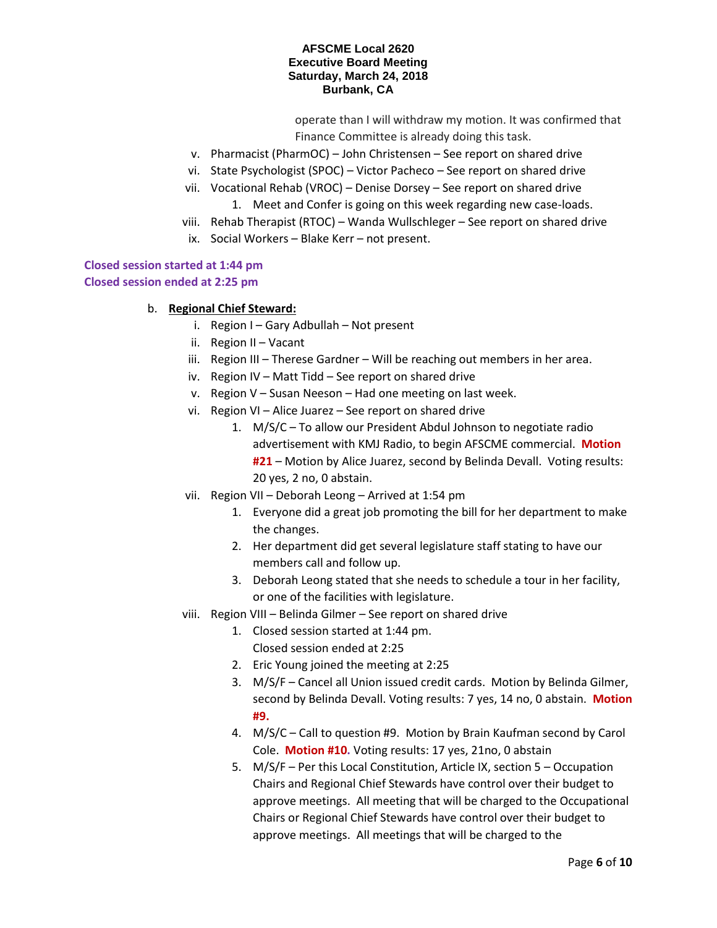operate than I will withdraw my motion. It was confirmed that Finance Committee is already doing this task.

- v. Pharmacist (PharmOC) John Christensen See report on shared drive
- vi. State Psychologist (SPOC) Victor Pacheco See report on shared drive
- vii. Vocational Rehab (VROC) Denise Dorsey See report on shared drive
	- 1. Meet and Confer is going on this week regarding new case-loads.
- viii. Rehab Therapist (RTOC) Wanda Wullschleger See report on shared drive
	- ix. Social Workers Blake Kerr not present.

# **Closed session started at 1:44 pm**

# **Closed session ended at 2:25 pm**

- b. **Regional Chief Steward:**
	- i. Region I Gary Adbullah Not present
	- ii. Region II Vacant
	- iii. Region III Therese Gardner Will be reaching out members in her area.
	- iv. Region IV Matt Tidd See report on shared drive
	- v. Region V Susan Neeson Had one meeting on last week.
	- vi. Region VI Alice Juarez See report on shared drive
		- 1. M/S/C To allow our President Abdul Johnson to negotiate radio advertisement with KMJ Radio, to begin AFSCME commercial. **Motion #21** – Motion by Alice Juarez, second by Belinda Devall. Voting results: 20 yes, 2 no, 0 abstain.
	- vii. Region VII Deborah Leong Arrived at 1:54 pm
		- 1. Everyone did a great job promoting the bill for her department to make the changes.
		- 2. Her department did get several legislature staff stating to have our members call and follow up.
		- 3. Deborah Leong stated that she needs to schedule a tour in her facility, or one of the facilities with legislature.
	- viii. Region VIII Belinda Gilmer See report on shared drive
		- 1. Closed session started at 1:44 pm.
			- Closed session ended at 2:25
			- 2. Eric Young joined the meeting at 2:25
			- 3. M/S/F Cancel all Union issued credit cards. Motion by Belinda Gilmer, second by Belinda Devall. Voting results: 7 yes, 14 no, 0 abstain. **Motion #9.**
			- 4. M/S/C Call to question #9. Motion by Brain Kaufman second by Carol Cole. **Motion #10.** Voting results: 17 yes, 21no, 0 abstain
			- 5. M/S/F Per this Local Constitution, Article IX, section 5 Occupation Chairs and Regional Chief Stewards have control over their budget to approve meetings. All meeting that will be charged to the Occupational Chairs or Regional Chief Stewards have control over their budget to approve meetings. All meetings that will be charged to the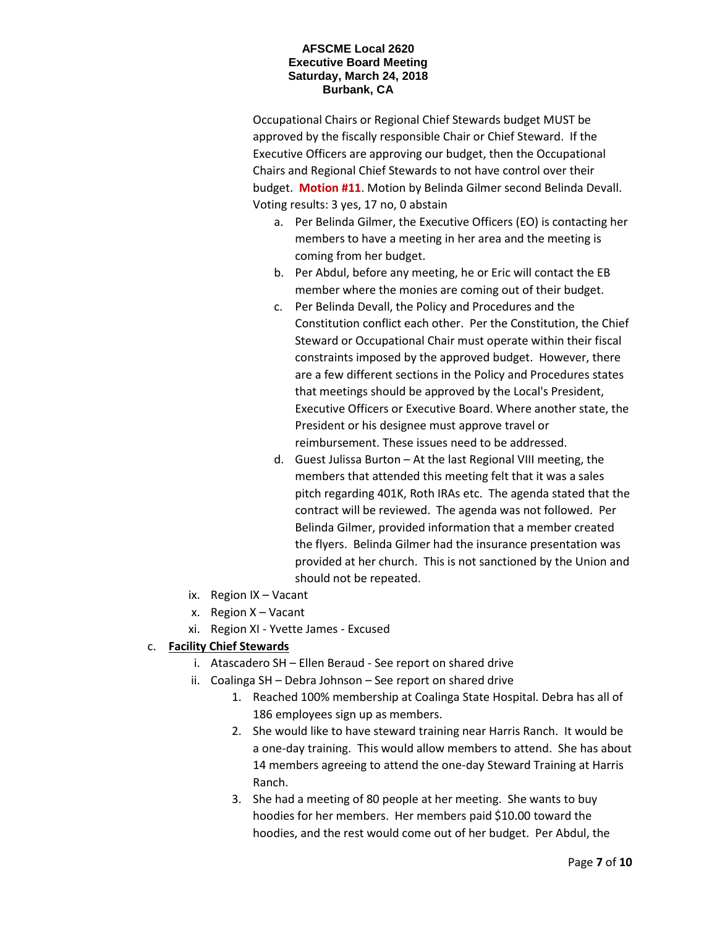Occupational Chairs or Regional Chief Stewards budget MUST be approved by the fiscally responsible Chair or Chief Steward. If the Executive Officers are approving our budget, then the Occupational Chairs and Regional Chief Stewards to not have control over their budget. **Motion #11**. Motion by Belinda Gilmer second Belinda Devall. Voting results: 3 yes, 17 no, 0 abstain

- a. Per Belinda Gilmer, the Executive Officers (EO) is contacting her members to have a meeting in her area and the meeting is coming from her budget.
- b. Per Abdul, before any meeting, he or Eric will contact the EB member where the monies are coming out of their budget.
- c. Per Belinda Devall, the Policy and Procedures and the Constitution conflict each other. Per the Constitution, the Chief Steward or Occupational Chair must operate within their fiscal constraints imposed by the approved budget. However, there are a few different sections in the Policy and Procedures states that meetings should be approved by the Local's President, Executive Officers or Executive Board. Where another state, the President or his designee must approve travel or reimbursement. These issues need to be addressed.
- d. Guest Julissa Burton At the last Regional VIII meeting, the members that attended this meeting felt that it was a sales pitch regarding 401K, Roth IRAs etc. The agenda stated that the contract will be reviewed. The agenda was not followed. Per Belinda Gilmer, provided information that a member created the flyers. Belinda Gilmer had the insurance presentation was provided at her church. This is not sanctioned by the Union and should not be repeated.
- ix. Region IX Vacant
- x. Region X Vacant
- xi. Region XI Yvette James Excused

# c. **Facility Chief Stewards**

- i. Atascadero SH Ellen Beraud See report on shared drive
- ii. Coalinga SH Debra Johnson See report on shared drive
	- 1. Reached 100% membership at Coalinga State Hospital. Debra has all of 186 employees sign up as members.
	- 2. She would like to have steward training near Harris Ranch. It would be a one-day training. This would allow members to attend. She has about 14 members agreeing to attend the one-day Steward Training at Harris Ranch.
	- 3. She had a meeting of 80 people at her meeting. She wants to buy hoodies for her members. Her members paid \$10.00 toward the hoodies, and the rest would come out of her budget. Per Abdul, the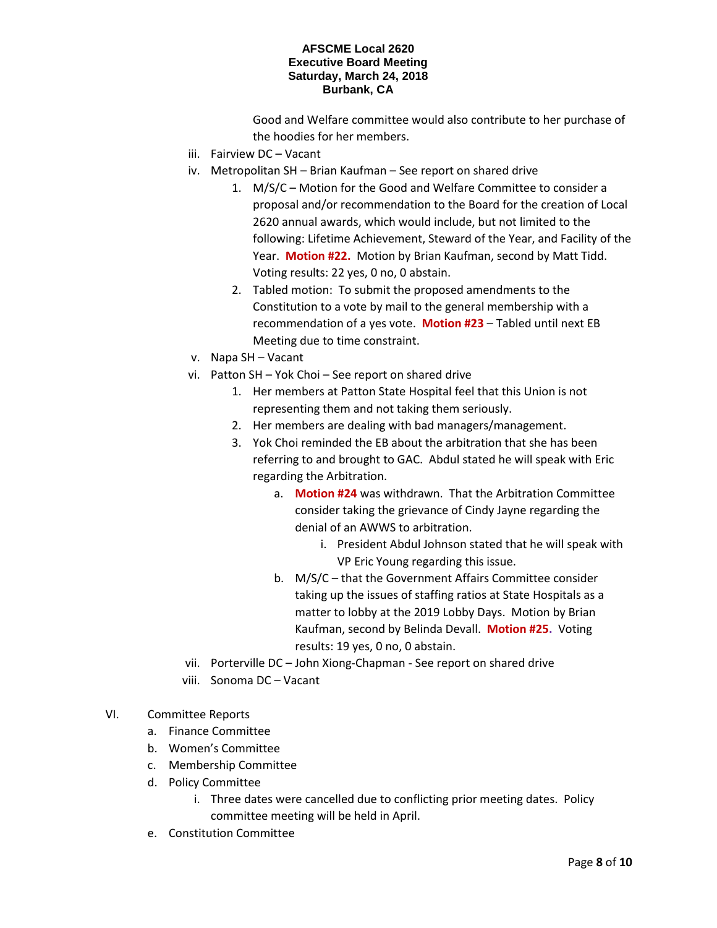Good and Welfare committee would also contribute to her purchase of the hoodies for her members.

- iii. Fairview DC Vacant
- iv. Metropolitan SH Brian Kaufman See report on shared drive
	- 1. M/S/C Motion for the Good and Welfare Committee to consider a proposal and/or recommendation to the Board for the creation of Local 2620 annual awards, which would include, but not limited to the following: Lifetime Achievement, Steward of the Year, and Facility of the Year. **Motion #22.** Motion by Brian Kaufman, second by Matt Tidd. Voting results: 22 yes, 0 no, 0 abstain.
	- 2. Tabled motion: To submit the proposed amendments to the Constitution to a vote by mail to the general membership with a recommendation of a yes vote. **Motion #23** – Tabled until next EB Meeting due to time constraint.
- v. Napa SH Vacant
- vi. Patton SH Yok Choi See report on shared drive
	- 1. Her members at Patton State Hospital feel that this Union is not representing them and not taking them seriously.
	- 2. Her members are dealing with bad managers/management.
	- 3. Yok Choi reminded the EB about the arbitration that she has been referring to and brought to GAC. Abdul stated he will speak with Eric regarding the Arbitration.
		- a. **Motion #24** was withdrawn. That the Arbitration Committee consider taking the grievance of Cindy Jayne regarding the denial of an AWWS to arbitration.
			- i. President Abdul Johnson stated that he will speak with VP Eric Young regarding this issue.
		- b. M/S/C that the Government Affairs Committee consider taking up the issues of staffing ratios at State Hospitals as a matter to lobby at the 2019 Lobby Days. Motion by Brian Kaufman, second by Belinda Devall. **Motion #25.** Voting results: 19 yes, 0 no, 0 abstain.
- vii. Porterville DC John Xiong-Chapman See report on shared drive
- viii. Sonoma DC Vacant
- VI. Committee Reports
	- a. Finance Committee
	- b. Women's Committee
	- c. Membership Committee
	- d. Policy Committee
		- i. Three dates were cancelled due to conflicting prior meeting dates. Policy committee meeting will be held in April.
	- e. Constitution Committee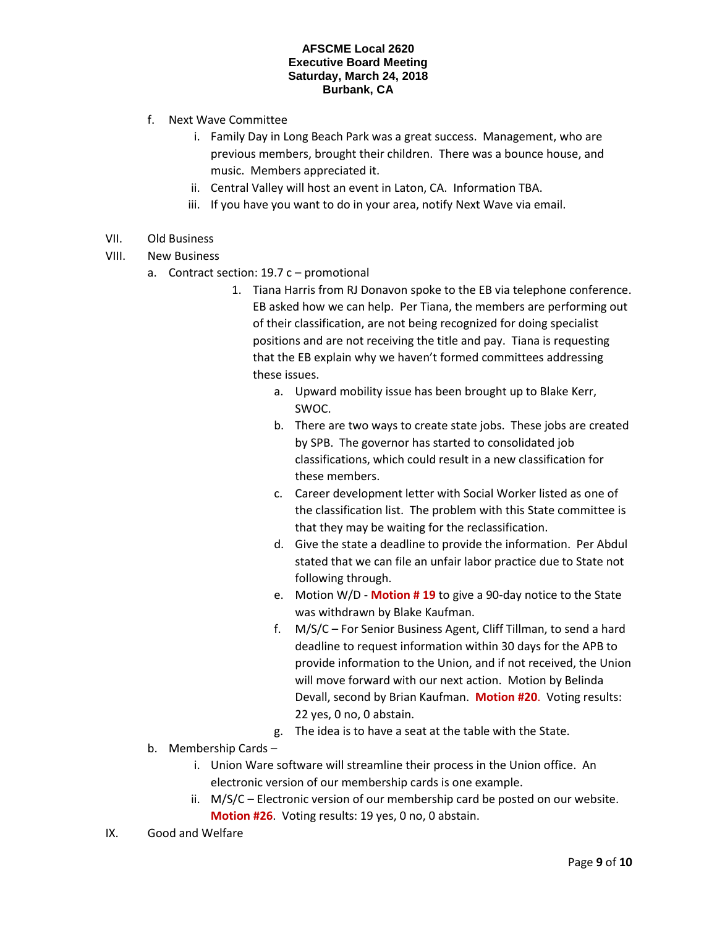- f. Next Wave Committee
	- i. Family Day in Long Beach Park was a great success. Management, who are previous members, brought their children. There was a bounce house, and music. Members appreciated it.
	- ii. Central Valley will host an event in Laton, CA. Information TBA.
	- iii. If you have you want to do in your area, notify Next Wave via email.
- VII. Old Business
- VIII. New Business
	- a. Contract section: 19.7 c promotional
		- 1. Tiana Harris from RJ Donavon spoke to the EB via telephone conference. EB asked how we can help. Per Tiana, the members are performing out of their classification, are not being recognized for doing specialist positions and are not receiving the title and pay. Tiana is requesting that the EB explain why we haven't formed committees addressing these issues.
			- a. Upward mobility issue has been brought up to Blake Kerr, SWOC.
			- b. There are two ways to create state jobs. These jobs are created by SPB. The governor has started to consolidated job classifications, which could result in a new classification for these members.
			- c. Career development letter with Social Worker listed as one of the classification list. The problem with this State committee is that they may be waiting for the reclassification.
			- d. Give the state a deadline to provide the information. Per Abdul stated that we can file an unfair labor practice due to State not following through.
			- e. Motion W/D **Motion # 19** to give a 90-day notice to the State was withdrawn by Blake Kaufman.
			- f. M/S/C For Senior Business Agent, Cliff Tillman, to send a hard deadline to request information within 30 days for the APB to provide information to the Union, and if not received, the Union will move forward with our next action. Motion by Belinda Devall, second by Brian Kaufman. **Motion #20**. Voting results: 22 yes, 0 no, 0 abstain.
			- g. The idea is to have a seat at the table with the State.
	- b. Membership Cards
		- i. Union Ware software will streamline their process in the Union office. An electronic version of our membership cards is one example.
		- ii. M/S/C Electronic version of our membership card be posted on our website. **Motion #26**. Voting results: 19 yes, 0 no, 0 abstain.
- IX. Good and Welfare